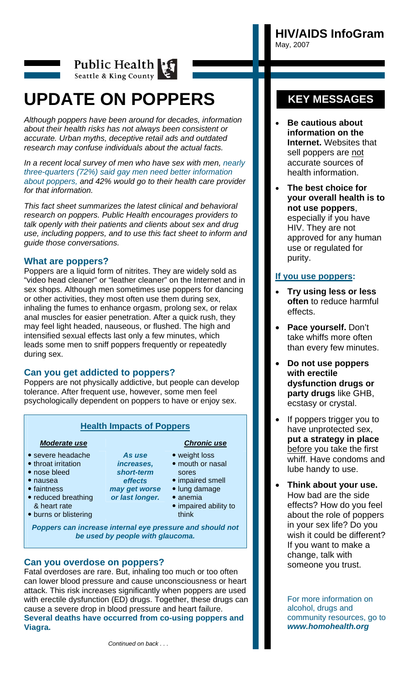**HIV/AIDS InfoGram**  May, 2007



# Public Health Seattle & King County

# **UPDATE ON POPPERS**

*Although poppers have been around for decades, information about their health risks has not always been consistent or accurate. Urban myths, deceptive retail ads and outdated research may confuse individuals about the actual facts.* 

*In a recent local survey of men who have sex with men, nearly three-quarters (72%) said gay men need better information about poppers, and 42% would go to their health care provider for that information.* 

*This fact sheet summarizes the latest clinical and behavioral research on poppers. Public Health encourages providers to talk openly with their patients and clients about sex and drug use, including poppers, and to use this fact sheet to inform and guide those conversations.* 

### **What are poppers?**

Poppers are a liquid form of nitrites. They are widely sold as "video head cleaner" or "leather cleaner" on the Internet and in sex shops. Although men sometimes use poppers for dancing or other activities, they most often use them during sex, inhaling the fumes to enhance orgasm, prolong sex, or relax anal muscles for easier penetration. After a quick rush, they may feel light headed, nauseous, or flushed. The high and intensified sexual effects last only a few minutes, which leads some men to sniff poppers frequently or repeatedly during sex.

# **Can you get addicted to poppers?**

Poppers are not physically addictive, but people can develop tolerance. After frequent use, however, some men feel psychologically dependent on poppers to have or enjoy sex.

# **Health Impacts of Poppers**

*As use increases, short-term effects may get worse or last longer.* 

- severe headache
- throat irritation
- nose bleed
- nausea
- $\bullet$  faintness • reduced breathing
- & heart rate
- burns or blistering
- *Moderate use**Chronic use*

#### • weight loss

- mouth or nasal sores
- impaired smell
- lung damage
- anemia
	-
- impaired ability to think

*Poppers can increase internal eye pressure and should not be used by people with glaucoma.* 

# **Can you overdose on poppers?**

Fatal overdoses are rare. But, inhaling too much or too often can lower blood pressure and cause unconsciousness or heart attack. This risk increases significantly when poppers are used with erectile dysfunction (ED) drugs. Together, these drugs can cause a severe drop in blood pressure and heart failure. **Several deaths have occurred from co-using poppers and Viagra.** 

# **KEY MESSAGES**

- **Be cautious about information on the Internet.** Websites that sell poppers are not accurate sources of health information.
- **The best choice for your overall health is to not use poppers**, especially if you have HIV. They are not approved for any human use or regulated for purity.

### **If you use poppers:**

- **Try using less or less often** to reduce harmful effects.
- **Pace yourself.** Don't take whiffs more often than every few minutes.
- **Do not use poppers with erectile dysfunction drugs or party drugs** like GHB, ecstasy or crystal.
- If poppers trigger you to have unprotected sex, **put a strategy in place**  before you take the first whiff. Have condoms and lube handy to use.
- **Think about your use.** How bad are the side effects? How do you feel about the role of poppers in your sex life? Do you wish it could be different? If you want to make a change, talk with someone you trust.

For more information on alcohol, drugs and community resources, go to *www.homohealth.org*